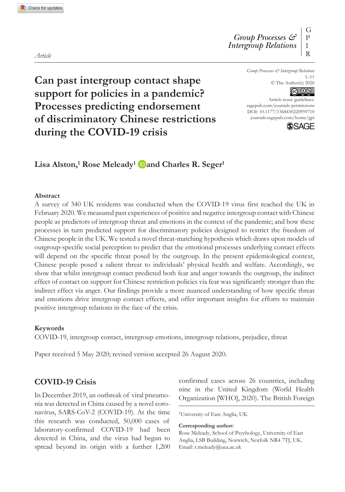*Article*

Article reuse guidelines:

[sagepub.com/journals-permissions](https://uk.sagepub.com/en-gb/journals-permissions) DOI: 10.1177/1368430220959710 [journals.sagepub.com/home/gpi](https://journals.sagepub.com/home/gpi)

*Group Processes & Intergroup Relations*

© The Author(s) 2020

I R

 $1 - 11$ 

**SAGE** 

**Can past intergroup contact shape support for policies in a pandemic? Processes predicting endorsement of discriminatory Chinese restrictions during the COVID-19 crisis**

# **Lisa Alston,1 Rose Meleady1 and Charles R. Seger1**

#### **Abstract**

A survey of 340 UK residents was conducted when the COVID-19 virus first reached the UK in February 2020. We measured past experiences of positive and negative intergroup contact with Chinese people as predictors of intergroup threat and emotions in the context of the pandemic; and how these processes in turn predicted support for discriminatory policies designed to restrict the freedom of Chinese people in the UK. We tested a novel threat-matching hypothesis which draws upon models of outgroup-specific social perception to predict that the emotional processes underlying contact effects will depend on the specific threat posed by the outgroup. In the present epidemiological context, Chinese people posed a salient threat to individuals' physical health and welfare. Accordingly, we show that whilst intergroup contact predicted both fear and anger towards the outgroup, the indirect effect of contact on support for Chinese restriction policies via fear was significantly stronger than the indirect effect via anger. Our findings provide a more nuanced understanding of how specific threat and emotions drive intergroup contact effects, and offer important insights for efforts to maintain positive intergroup relations in the face of the crisis.

### **Keywords**

COVID-19, intergroup contact, intergroup emotions, intergroup relations, prejudice, threat

Paper received 5 May 2020; revised version accepted 26 August 2020.

# **COVID-19 Crisis**

In December 2019, an outbreak of viral pneumonia was detected in China caused by a novel coronavirus, SARS-CoV-2 (COVID-19). At the time this research was conducted, 50,000 cases of laboratory-confirmed COVID-19 had been detected in China, and the virus had begun to spread beyond its origin with a further 1,200 confirmed cases across 26 countries, including nine in the United Kingdom (World Health Organization [WHO], 2020). The British Foreign

1University of East Anglia, UK

#### **Corresponding author:**

Rose Meleady, School of Psychology, University of East Anglia, LSB Building, Norwich, Norfolk NR4 7TJ, UK. Email: [r.meleady@uea.ac.uk](mailto:r.meleady@uea.ac.uk)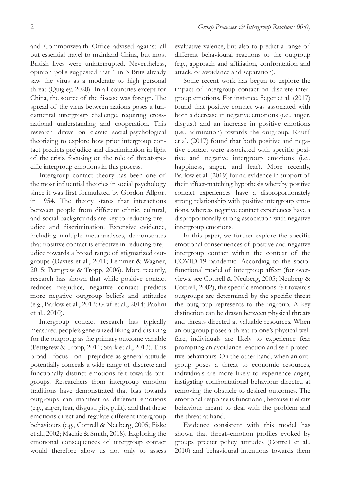and Commonwealth Office advised against all but essential travel to mainland China, but most British lives were uninterrupted. Nevertheless, opinion polls suggested that 1 in 3 Brits already saw the virus as a moderate to high personal threat (Quigley, 2020). In all countries except for China, the source of the disease was foreign. The spread of the virus between nations poses a fundamental intergroup challenge, requiring crossnational understanding and cooperation. This research draws on classic social-psychological theorizing to explore how prior intergroup contact predicts prejudice and discrimination in light of the crisis, focusing on the role of threat-spe-

cific intergroup emotions in this process. Intergroup contact theory has been one of the most influential theories in social psychology since it was first formulated by Gordon Allport in 1954. The theory states that interactions between people from different ethnic, cultural, and social backgrounds are key to reducing prejudice and discrimination. Extensive evidence, including multiple meta-analyses, demonstrates that positive contact is effective in reducing prejudice towards a broad range of stigmatized outgroups (Davies et al., 2011; Lemmer & Wagner, 2015; Pettigrew & Tropp, 2006). More recently, research has shown that while positive contact reduces prejudice, negative contact predicts more negative outgroup beliefs and attitudes (e.g., Barlow et al., 2012; Graf et al., 2014; Paolini et al., 2010).

Intergroup contact research has typically measured people's generalized liking and disliking for the outgroup as the primary outcome variable (Pettigrew & Tropp, 2011; Stark et al., 2013). This broad focus on prejudice-as-general-attitude potentially conceals a wide range of discrete and functionally distinct emotions felt towards outgroups. Researchers from intergroup emotion traditions have demonstrated that bias towards outgroups can manifest as different emotions (e.g., anger, fear, disgust, pity, guilt), and that these emotions direct and regulate different intergroup behaviours (e.g., Cottrell & Neuberg, 2005; Fiske et al., 2002; Mackie & Smith, 2018). Exploring the emotional consequences of intergroup contact would therefore allow us not only to assess evaluative valence, but also to predict a range of different behavioural reactions to the outgroup (e.g., approach and affiliation, confrontation and attack, or avoidance and separation).

Some recent work has begun to explore the impact of intergroup contact on discrete intergroup emotions. For instance, Seger et al. (2017) found that positive contact was associated with both a decrease in negative emotions (i.e., anger, disgust) and an increase in positive emotions (i.e., admiration) towards the outgroup. Kauff et al. (2017) found that both positive and negative contact were associated with specific positive and negative intergroup emotions (i.e., happiness, anger, and fear). More recently, Barlow et al. (2019) found evidence in support of their affect-matching hypothesis whereby positive contact experiences have a disproportionately strong relationship with positive intergroup emotions, whereas negative contact experiences have a disproportionally strong association with negative intergroup emotions.

In this paper, we further explore the specific emotional consequences of positive and negative intergroup contact within the context of the COVID-19 pandemic. According to the sociofunctional model of intergroup affect (for overviews, see Cottrell & Neuberg, 2005; Neuberg & Cottrell, 2002), the specific emotions felt towards outgroups are determined by the specific threat the outgroup represents to the ingroup. A key distinction can be drawn between physical threats and threats directed at valuable resources. When an outgroup poses a threat to one's physical welfare, individuals are likely to experience fear prompting an avoidance reaction and self-protective behaviours. On the other hand, when an outgroup poses a threat to economic resources, individuals are more likely to experience anger, instigating confrontational behaviour directed at removing the obstacle to desired outcomes. The emotional response is functional, because it elicits behaviour meant to deal with the problem and the threat at hand.

Evidence consistent with this model has shown that threat–emotion profiles evoked by groups predict policy attitudes (Cottrell et al., 2010) and behavioural intentions towards them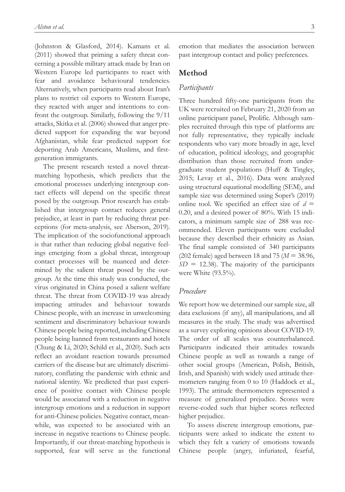(Johnston & Glasford, 2014). Kamans et al. (2011) showed that priming a safety threat concerning a possible military attack made by Iran on Western Europe led participants to react with fear and avoidance behavioural tendencies. Alternatively, when participants read about Iran's plans to restrict oil exports to Western Europe, they reacted with anger and intentions to confront the outgroup. Similarly, following the 9/11 attacks, Skitka et al. (2006) showed that anger predicted support for expanding the war beyond Afghanistan, while fear predicted support for deporting Arab Americans, Muslims, and firstgeneration immigrants.

The present research tested a novel threatmatching hypothesis, which predicts that the emotional processes underlying intergroup contact effects will depend on the specific threat posed by the outgroup. Prior research has established that intergroup contact reduces general prejudice, at least in part by reducing threat perceptions (for meta-analysis, see Aberson, 2019). The implication of the sociofunctional approach is that rather than reducing global negative feelings emerging from a global threat, intergroup contact processes will be nuanced and determined by the salient threat posed by the outgroup. At the time this study was conducted, the virus originated in China posed a salient welfare threat. The threat from COVID-19 was already impacting attitudes and behaviour towards Chinese people, with an increase in unwelcoming sentiment and discriminatory behaviour towards Chinese people being reported, including Chinese people being banned from restaurants and hotels (Chung & Li, 2020; Schild et al., 2020). Such acts reflect an avoidant reaction towards presumed carriers of the disease but are ultimately discriminatory, conflating the pandemic with ethnic and national identity. We predicted that past experience of positive contact with Chinese people would be associated with a reduction in negative intergroup emotions and a reduction in support for anti-Chinese policies. Negative contact, meanwhile, was expected to be associated with an increase in negative reactions to Chinese people. Importantly, if our threat-matching hypothesis is supported, fear will serve as the functional

emotion that mediates the association between past intergroup contact and policy preferences.

# **Method**

# *Participants*

Three hundred fifty-one participants from the UK were recruited on February 21, 2020 from an online participant panel, Prolific. Although samples recruited through this type of platforms are not fully representative, they typically include respondents who vary more broadly in age, level of education, political ideology, and geographic distribution than those recruited from undergraduate student populations (Huff & Tingley, 2015; Levay et al., 2016). Data were analyzed using structural equational modelling (SEM), and sample size was determined using Soper's (2019) online tool. We specified an effect size of  $d =$ 0.20, and a desired power of 80%. With 15 indicators, a minimum sample size of 288 was recommended. Eleven participants were excluded because they described their ethnicity as Asian. The final sample consisted of 340 participants (202 female) aged between 18 and 75 (*M* = 38.96,  $SD = 12.38$ . The majority of the participants were White (93.5%).

# *Procedure*

We report how we determined our sample size, all data exclusions (if any), all manipulations, and all measures in the study. The study was advertised as a survey exploring opinions about COVID-19. The order of all scales was counterbalanced. Participants indicated their attitudes towards Chinese people as well as towards a range of other social groups (American, Polish, British, Irish, and Spanish) with widely used attitude thermometers ranging from 0 to 10 (Haddock et al., 1993). The attitude thermometers represented a measure of generalized prejudice. Scores were reverse-coded such that higher scores reflected higher prejudice.

To assess discrete intergroup emotions, participants were asked to indicate the extent to which they felt a variety of emotions towards Chinese people (angry, infuriated, fearful,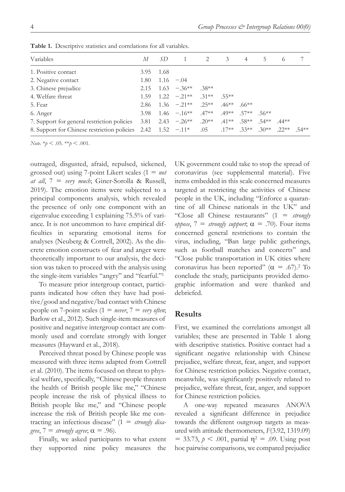| Variables                                                                         | М    | .SD  | -1            | $\overline{2}$ | 3                    | $\overline{4}$ | 5 | 6        |        |
|-----------------------------------------------------------------------------------|------|------|---------------|----------------|----------------------|----------------|---|----------|--------|
| 1. Positive contact                                                               | 3.95 | 1.68 |               |                |                      |                |   |          |        |
| 2. Negative contact                                                               | 1.80 |      | $1.16 - 0.04$ |                |                      |                |   |          |        |
| 3. Chinese prejudice                                                              | 2.15 |      | $1.63 - 36**$ | $.38**$        |                      |                |   |          |        |
| 4. Welfare threat                                                                 | 1.59 |      | $1.22 - 21**$ | $.31***$       | $.55***$             |                |   |          |        |
| 5. Fear                                                                           | 2.86 |      | $1.36 - 21**$ | $25**$         | $.46***$             | $66***$        |   |          |        |
| 6. Anger                                                                          | 3.98 |      | $1.46 - 16**$ | $.47**$        | $.49**$ .57** .56**  |                |   |          |        |
| 7. Support for general restriction policies 3.81                                  |      |      | $2.43 - 26**$ | $.20**$        | $.41***$ .58** .54** |                |   | $.44***$ |        |
| 8. Support for Chinese restriction policies 2.42 1.52 -.11* .05 .17** .33** .30** |      |      |               |                |                      |                |   | $22**$   | $54**$ |

Table 1. Descriptive statistics and correlations for all variables.

*Note*. \**p* < .05. \*\**p* < .001.

outraged, disgusted, afraid, repulsed, sickened, grossed out) using 7-point Likert scales (1 = *not at all*, 7 = *very much*; Giner-Sorolla & Russell, 2019). The emotion items were subjected to a principal components analysis, which revealed the presence of only one component with an eigenvalue exceeding 1 explaining 75.5% of variance. It is not uncommon to have empirical difficulties in separating emotional items for analyses (Neuberg & Cottrell, 2002). As the discrete emotion constructs of fear and anger were theoretically important to our analysis, the decision was taken to proceed with the analysis using the single-item variables "angry" and "fearful."1

To measure prior intergroup contact, participants indicated how often they have had positive/good and negative/bad contact with Chinese people on 7-point scales (1 = *never*, 7 = *very often*; Barlow et al., 2012). Such single-item measures of positive and negative intergroup contact are commonly used and correlate strongly with longer measures (Hayward et al., 2018).

Perceived threat posed by Chinese people was measured with three items adapted from Cottrell et al. (2010). The items focused on threat to physical welfare, specifically, "Chinese people threaten the health of British people like me," "Chinese people increase the risk of physical illness to British people like me," and "Chinese people increase the risk of British people like me contracting an infectious disease" (1 = *strongly disagree*,  $7 =$  *strongly agree*;  $\alpha = .96$ .

Finally, we asked participants to what extent they supported nine policy measures the

UK government could take to stop the spread of coronavirus (see supplemental material). Five items embedded in this scale concerned measures targeted at restricting the activities of Chinese people in the UK, including "Enforce a quarantine of all Chinese nationals in the UK" and "Close all Chinese restaurants" (1 = *strongly oppose*,  $7 =$  *strongly support*;  $\alpha = .70$ ). Four items concerned general restrictions to contain the virus, including, "Ban large public gatherings, such as football matches and concerts" and "Close public transportation in UK cities where coronavirus has been reported" ( $\alpha = .67$ ).<sup>2</sup> To conclude the study, participants provided demographic information and were thanked and debriefed.

# **Results**

First, we examined the correlations amongst all variables; these are presented in Table 1 along with descriptive statistics. Positive contact had a significant negative relationship with Chinese prejudice, welfare threat, fear, anger, and support for Chinese restriction policies. Negative contact, meanwhile, was significantly positively related to prejudice, welfare threat, fear, anger, and support for Chinese restriction policies.

A one-way repeated measures ANOVA revealed a significant difference in prejudice towards the different outgroup targets as measured with attitude thermometers, *F*(3.92, 1319.09)  $= 33.73, p \le .001$ , partial  $\eta^2 = .09$ . Using post hoc pairwise comparisons, we compared prejudice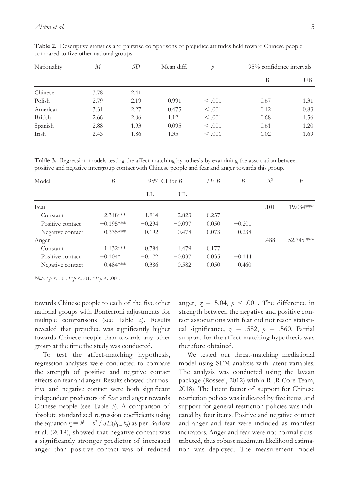| Nationality | М    | SD   | Mean diff. | Þ           | 95% confidence intervals |      |  |
|-------------|------|------|------------|-------------|--------------------------|------|--|
|             |      |      |            |             | LB                       | UB   |  |
| Chinese     | 3.78 | 2.41 |            |             |                          |      |  |
| Polish      | 2.79 | 2.19 | 0.991      | $\leq .001$ | 0.67                     | 1.31 |  |
| American    | 3.31 | 2.27 | 0.475      | < 0.001     | 0.12                     | 0.83 |  |
| British     | 2.66 | 2.06 | 1.12       | $\leq .001$ | 0.68                     | 1.56 |  |
| Spanish     | 2.88 | 1.93 | 0.095      | $\leq .001$ | 0.61                     | 1.20 |  |
| Irish       | 2.43 | 1.86 | 1.35       | $\leq .001$ | 1.02                     | 1.69 |  |

**Table 2.** Descriptive statistics and pairwise comparisons of prejudice attitudes held toward Chinese people compared to five other national groups.

**Table 3.** Regression models testing the affect-matching hypothesis by examining the association between positive and negative intergroup contact with Chinese people and fear and anger towards this group.

| Model            | B           |          | $95\%$ CI for B |       | B        | $R^2$ | F          |
|------------------|-------------|----------|-----------------|-------|----------|-------|------------|
|                  |             | LL       | UL              |       |          |       |            |
| Fear             |             |          |                 |       |          | .101  | 19.034***  |
| Constant         | $2.318***$  | 1.814    | 2.823           | 0.257 |          |       |            |
| Positive contact | $-0.195***$ | $-0.294$ | $-0.097$        | 0.050 | $-0.201$ |       |            |
| Negative contact | $0.335***$  | 0.192    | 0.478           | 0.073 | 0.238    |       |            |
| Anger            |             |          |                 |       |          | .488  | 52.745 *** |
| Constant         | $1.132***$  | 0.784    | 1.479           | 0.177 |          |       |            |
| Positive contact | $-0.104*$   | $-0.172$ | $-0.037$        | 0.035 | $-0.144$ |       |            |
| Negative contact | $0.484***$  | 0.386    | 0.582           | 0.050 | 0.460    |       |            |

*Note*. \**p* < .05. \*\**p* < .01. \*\*\**p* < .001.

towards Chinese people to each of the five other national groups with Bonferroni adjustments for multiple comparisons (see Table 2). Results revealed that prejudice was significantly higher towards Chinese people than towards any other group at the time the study was conducted.

To test the affect-matching hypothesis, regression analyses were conducted to compare the strength of positive and negative contact effects on fear and anger. Results showed that positive and negative contact were both significant independent predictors of fear and anger towards Chinese people (see Table 3). A comparison of absolute standardized regression coefficients using the equation  $\gamma = b^1 - b^2 / SE(b_1 - b_2)$  as per Barlow et al. (2019), showed that negative contact was a significantly stronger predictor of increased anger than positive contact was of reduced anger,  $\zeta = 5.04$ ,  $\rho < .001$ . The difference in strength between the negative and positive contact associations with fear did not reach statistical significance,  $\zeta = .582$ ,  $p = .560$ . Partial support for the affect-matching hypothesis was therefore obtained.

We tested our threat-matching mediational model using SEM analysis with latent variables. The analysis was conducted using the lavaan package (Rosseel, 2012) within R (R Core Team, 2018). The latent factor of support for Chinese restriction polices was indicated by five items, and support for general restriction policies was indicated by four items. Positive and negative contact and anger and fear were included as manifest indicators. Anger and fear were not normally distributed, thus robust maximum likelihood estimation was deployed. The measurement model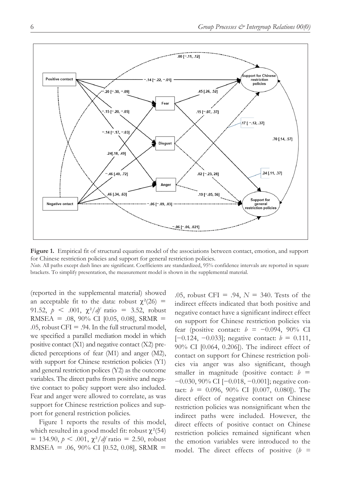

**Figure 1.** Empirical fit of structural equation model of the associations between contact, emotion, and support for Chinese restriction policies and support for general restriction policies.

*Note*. All paths except dash lines are significant. Coefficients are standardized, 95% confidence intervals are reported in square brackets. To simplify presentation, the measurement model is shown in the supplemental material.

(reported in the supplemental material) showed an acceptable fit to the data: robust  $\chi^2(26)$  = 91.52, *p* < .001,  $\chi^2/df$  ratio = 3.52, robust RMSEA = .08, 90% CI [0.05, 0.08], SRMR = .05, robust CFI = .94. In the full structural model, we specified a parallel mediation model in which positive contact (X1) and negative contact (X2) predicted perceptions of fear (M1) and anger (M2), with support for Chinese restriction policies (Y1) and general restriction polices (Y2) as the outcome variables. The direct paths from positive and negative contact to policy support were also included. Fear and anger were allowed to correlate, as was support for Chinese restriction polices and support for general restriction policies.

Figure 1 reports the results of this model, which resulted in a good model fit: robust  $\chi^2$ (54)  $= 134.90, p \leq .001, \chi^2/df$  ratio  $= 2.50$ , robust RMSEA = .06, 90% CI [0.52, 0.08], SRMR =

.05, robust CFI = .94, *N* = 340. Tests of the indirect effects indicated that both positive and negative contact have a significant indirect effect on support for Chinese restriction policies via fear (positive contact: *b =* −0.094, 90% CI [−0.124, −0.033]; negative contact: *b* = 0.111, 90% CI [0.064, 0.206]). The indirect effect of contact on support for Chinese restriction policies via anger was also significant, though smaller in magnitude (positive contact:  $b =$ −0.030, 90% CI [−0.018, −0.001]; negative contact:  $b = 0.096, 90\%$  CI [0.007, 0.080]). The direct effect of negative contact on Chinese restriction policies was nonsignificant when the indirect paths were included. However, the direct effects of positive contact on Chinese restriction policies remained significant when the emotion variables were introduced to the model. The direct effects of positive (*b =*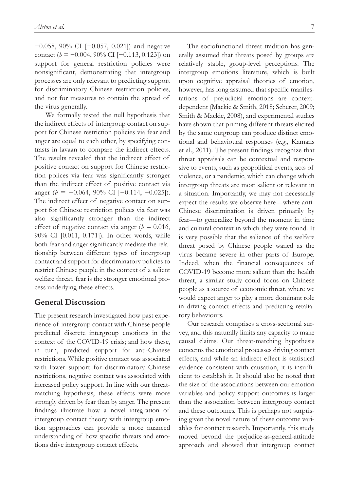*−*0.058, 90% CI [−0.057, 0.021]) and negative contact (*b = −*0.004, 90% CI [−0.113, 0.123]) on support for general restriction policies were nonsignificant, demonstrating that intergroup processes are only relevant to predicting support for discriminatory Chinese restriction policies, and not for measures to contain the spread of the virus generally.

 We formally tested the null hypothesis that the indirect effects of intergroup contact on support for Chinese restriction policies via fear and anger are equal to each other, by specifying contrasts in lavaan to compare the indirect effects. The results revealed that the indirect effect of positive contact on support for Chinese restriction polices via fear was significantly stronger than the indirect effect of positive contact via anger (*b* = −0.064, 90% CI [−0.114, −0.025]). The indirect effect of negative contact on support for Chinese restriction polices via fear was also significantly stronger than the indirect effect of negative contact via anger  $(b = 0.016,$ 90% CI [0.011, 0.171]). In other words, while both fear and anger significantly mediate the relationship between different types of intergroup contact and support for discriminatory policies to restrict Chinese people in the context of a salient welfare threat, fear is the stronger emotional process underlying these effects.

# **General Discussion**

The present research investigated how past experience of intergroup contact with Chinese people predicted discrete intergroup emotions in the context of the COVID-19 crisis; and how these, in turn, predicted support for anti-Chinese restrictions. While positive contact was associated with lower support for discriminatory Chinese restrictions, negative contact was associated with increased policy support. In line with our threatmatching hypothesis, these effects were more strongly driven by fear than by anger. The present findings illustrate how a novel integration of intergroup contact theory with intergroup emotion approaches can provide a more nuanced understanding of how specific threats and emotions drive intergroup contact effects.

The sociofunctional threat tradition has generally assumed that threats posed by groups are relatively stable, group-level perceptions. The intergroup emotions literature, which is built upon cognitive appraisal theories of emotion, however, has long assumed that specific manifestations of prejudicial emotions are contextdependent (Mackie & Smith, 2018; Scherer, 2009; Smith & Mackie, 2008), and experimental studies have shown that priming different threats elicited by the same outgroup can produce distinct emotional and behavioural responses (e.g., Kamans et al., 2011). The present findings recognize that threat appraisals can be contextual and responsive to events, such as geopolitical events, acts of violence, or a pandemic, which can change which intergroup threats are most salient or relevant in a situation. Importantly, we may not necessarily expect the results we observe here—where anti-Chinese discrimination is driven primarily by fear—to generalize beyond the moment in time and cultural context in which they were found. It is very possible that the salience of the welfare threat posed by Chinese people waned as the virus became severe in other parts of Europe. Indeed, when the financial consequences of COVID-19 become more salient than the health threat, a similar study could focus on Chinese people as a source of economic threat, where we would expect anger to play a more dominant role in driving contact effects and predicting retaliatory behaviours.

Our research comprises a cross-sectional survey, and this naturally limits any capacity to make causal claims. Our threat-matching hypothesis concerns the emotional processes driving contact effects, and while an indirect effect is statistical evidence consistent with causation, it is insufficient to establish it. It should also be noted that the size of the associations between our emotion variables and policy support outcomes is larger than the association between intergroup contact and these outcomes. This is perhaps not surprising given the novel nature of these outcome variables for contact research. Importantly, this study moved beyond the prejudice-as-general-attitude approach and showed that intergroup contact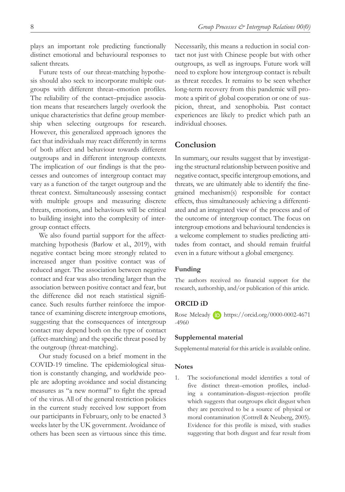plays an important role predicting functionally distinct emotional and behavioural responses to salient threats.

Future tests of our threat-matching hypothesis should also seek to incorporate multiple outgroups with different threat–emotion profiles. The reliability of the contact–prejudice association means that researchers largely overlook the unique characteristics that define group membership when selecting outgroups for research. However, this generalized approach ignores the fact that individuals may react differently in terms of both affect and behaviour towards different outgroups and in different intergroup contexts. The implication of our findings is that the processes and outcomes of intergroup contact may vary as a function of the target outgroup and the threat context. Simultaneously assessing contact with multiple groups and measuring discrete threats, emotions, and behaviours will be critical to building insight into the complexity of intergroup contact effects.

We also found partial support for the affectmatching hypothesis (Barlow et al., 2019), with negative contact being more strongly related to increased anger than positive contact was of reduced anger. The association between negative contact and fear was also trending larger than the association between positive contact and fear, but the difference did not reach statistical significance. Such results further reinforce the importance of examining discrete intergroup emotions, suggesting that the consequences of intergroup contact may depend both on the type of contact (affect-matching) and the specific threat posed by the outgroup (threat-matching).

Our study focused on a brief moment in the COVID-19 timeline. The epidemiological situation is constantly changing, and worldwide people are adopting avoidance and social distancing measures as "a new normal" to fight the spread of the virus. All of the general restriction policies in the current study received low support from our participants in February, only to be enacted 3 weeks later by the UK government. Avoidance of others has been seen as virtuous since this time.

Necessarily, this means a reduction in social contact not just with Chinese people but with other outgroups, as well as ingroups. Future work will need to explore how intergroup contact is rebuilt as threat recedes. It remains to be seen whether long-term recovery from this pandemic will promote a spirit of global cooperation or one of suspicion, threat, and xenophobia. Past contact experiences are likely to predict which path an individual chooses.

# **Conclusion**

In summary, our results suggest that by investigating the structural relationship between positive and negative contact, specific intergroup emotions, and threats, we are ultimately able to identify the finegrained mechanism(s) responsible for contact effects, thus simultaneously achieving a differentiated and an integrated view of the process and of the outcome of intergroup contact. The focus on intergroup emotions and behavioural tendencies is a welcome complement to studies predicting attitudes from contact, and should remain fruitful even in a future without a global emergency.

### **Funding**

The authors received no financial support for the research, authorship, and/or publication of this article.

#### **ORCID iD**

Rose Meleady [https://orcid.org/0000-0002-4671](https://orcid.org/0000-0002-4671-4960) [-4960](https://orcid.org/0000-0002-4671-4960)

### **Supplemental material**

Supplemental material for this article is available online.

#### **Notes**

1. The sociofunctional model identifies a total of five distinct threat–emotion profiles, including a contamination–disgust–rejection profile which suggests that outgroups elicit disgust when they are perceived to be a source of physical or moral contamination (Cottrell & Neuberg, 2005). Evidence for this profile is mixed, with studies suggesting that both disgust and fear result from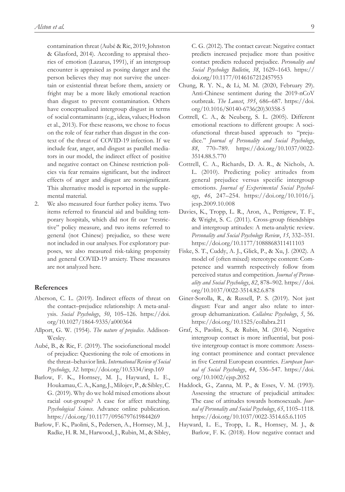contamination threat (Aubé & Ric, 2019; Johnston & Glasford, 2014). According to appraisal theories of emotion (Lazarus, 1991), if an intergroup encounter is appraised as posing danger and the person believes they may not survive the uncertain or existential threat before them, anxiety or fright may be a more likely emotional reaction than disgust to prevent contamination. Others have conceptualized intergroup disgust in terms of social contaminants (e.g., ideas, values; Hodson et al., 2013). For these reasons, we chose to focus on the role of fear rather than disgust in the context of the threat of COVID-19 infection. If we include fear, anger, and disgust as parallel mediators in our model, the indirect effect of positive and negative contact on Chinese restriction policies via fear remains significant, but the indirect effects of anger and disgust are nonsignificant. This alternative model is reported in the supplemental material.

2. We also measured four further policy items. Two items referred to financial aid and building temporary hospitals, which did not fit our "restrictive" policy measure, and two items referred to general (not Chinese) prejudice, so these were not included in our analyses. For exploratory purposes, we also measured risk-taking propensity and general COVID-19 anxiety. These measures are not analyzed here.

### **References**

- Aberson, C. L. (2019). Indirect effects of threat on the contact–prejudice relationship: A meta-analysis. *Social Psychology*, *50*, 105–126. [https://doi.](https://doi.org/10.1027/1864-9335/a000364) [org/10.1027/1864-9335/a000364](https://doi.org/10.1027/1864-9335/a000364)
- Allport, G. W. (1954). *The nature of prejudice*. Addison-Wesley.
- Aubé, B., & Ric, F. (2019). The sociofunctional model of prejudice: Questioning the role of emotions in the threat–behavior link. *International Review of Social Psychology*, *32*.<https://doi.org/10.5334/irsp.169>
- Barlow, F. K., Hornsey, M. J., Hayward, L. E., Houkamau, C. A., Kang, J., Milojev, P., & Sibley, C. G. (2019). Why do we hold mixed emotions about racial out-groups? A case for affect matching. *Psychological Science*. Advance online publication. <https://doi.org/10.1177/0956797619844269>
- Barlow, F. K., Paolini, S., Pedersen, A., Hornsey, M. J., Radke, H. R. M., Harwood, J., Rubin, M., & Sibley,

C. G. (2012). The contact caveat: Negative contact predicts increased prejudice more than positive contact predicts reduced prejudice. *Personality and Social Psychology Bulletin*, *38*, 1629–1643. [https://](https://doi.org/10.1177/0146167212457953) [doi.org/10.1177/0146167212457953](https://doi.org/10.1177/0146167212457953)

- Chung, R. Y. N., & Li, M. M. (2020, February 29). Anti-Chinese sentiment during the 2019-nCoV outbreak. *The Lancet*, *395*, 686–687. [https://doi.](https://doi.org/10.1016/S0140-6736(20)30358-5) [org/10.1016/S0140-6736\(20\)30358-5](https://doi.org/10.1016/S0140-6736(20)30358-5)
- Cottrell, C. A., & Neuberg, S. L. (2005). Different emotional reactions to different groups: A sociofunctional threat-based approach to "prejudice." *Journal of Personality and Social Psychology*, *88*, 770–789. [https://doi.org/10.1037/0022-](https://doi.org/10.1037/0022-3514.88.5.770) [3514.88.5.770](https://doi.org/10.1037/0022-3514.88.5.770)
- Cottrell, C. A., Richards, D. A. R., & Nichols, A. L. (2010). Predicting policy attitudes from general prejudice versus specific intergroup emotions. *Journal of Experimental Social Psychology*, *46*, 247–254. [https://doi.org/10.1016/j.](https://doi.org/10.1016/j.jesp.2009.10.008) [jesp.2009.10.008](https://doi.org/10.1016/j.jesp.2009.10.008)
- Davies, K., Tropp, L. R., Aron, A., Pettigrew, T. F., & Wright, S. C. (2011). Cross-group friendships and intergroup attitudes: A meta-analytic review. *Personality and Social Psychology Review*, *15*, 332–351. <https://doi.org/10.1177/1088868311411103>
- Fiske, S. T., Cuddy, A. J., Glick, P., & Xu, J. (2002). A model of (often mixed) stereotype content: Competence and warmth respectively follow from perceived status and competition. *Journal of Personality and Social Psychology*, *82*, 878–902. [https://doi.](https://doi.org/10.1037/0022-3514.82.6.878) [org/10.1037/0022-3514.82.6.878](https://doi.org/10.1037/0022-3514.82.6.878)
- Giner-Sorolla, R., & Russell, P. S. (2019). Not just disgust: Fear and anger also relate to intergroup dehumanization. *Collabra: Psychology*, *5*, 56. <https://doi.org/10.1525/collabra.211>
- Graf, S., Paolini, S., & Rubin, M. (2014). Negative intergroup contact is more influential, but positive intergroup contact is more common: Assessing contact prominence and contact prevalence in five Central European countries. *European Journal of Social Psychology*, *44*, 536–547. [https://doi.](https://doi.org/10.1002/ejsp.2052) [org/10.1002/ejsp.2052](https://doi.org/10.1002/ejsp.2052)
- Haddock, G., Zanna, M. P., & Esses, V. M. (1993). Assessing the structure of prejudicial attitudes: The case of attitudes towards homosexuals. *Journal of Personality and Social Psychology*, *65*, 1105–1118. <https://doi.org/10.1037/0022-3514.65.6.1105>
- Hayward, L. E., Tropp, L. R., Hornsey, M. J., & Barlow, F. K. (2018). How negative contact and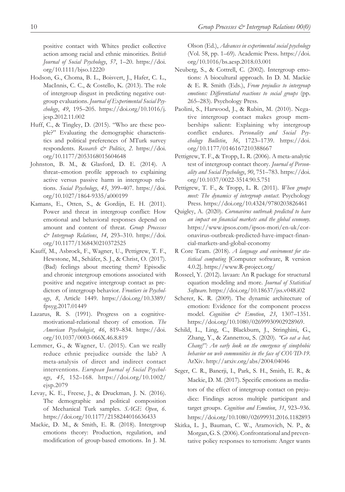positive contact with Whites predict collective action among racial and ethnic minorities. *British Journal of Social Psychology*, *57*, 1–20. [https://doi.](https://doi.org/10.1111/bjso.12220) [org/10.1111/bjso.12220](https://doi.org/10.1111/bjso.12220)

- Hodson, G., Choma, B. L., Boisvert, J., Hafer, C. L., MacInnis, C. C., & Costello, K. (2013). The role of intergroup disgust in predicting negative outgroup evaluations. *Journal of Experimental Social Psychology*, *49*, 195–205. [https://doi.org/10.1016/j.](https://doi.org/10.1016/j.jesp.2012.11.002) [jesp.2012.11.002](https://doi.org/10.1016/j.jesp.2012.11.002)
- Huff, C., & Tingley, D. (2015). "Who are these people?" Evaluating the demographic characteristics and political preferences of MTurk survey respondents. *Research & Politics*, *2*. [https://doi.](https://doi.org/10.1177/2053168015604648) [org/10.1177/2053168015604648](https://doi.org/10.1177/2053168015604648)
- Johnston, B. M., & Glasford, D. E. (2014). A threat–emotion profile approach to explaining active versus passive harm in intergroup relations. *Social Psychology*, *45*, 399–407. [https://doi.](https://doi.org/10.1027/1864-9335/a000199) [org/10.1027/1864-9335/a000199](https://doi.org/10.1027/1864-9335/a000199)
- Kamans, E., Otten, S., & Gordijn, E. H. (2011). Power and threat in intergroup conflict: How emotional and behavioral responses depend on amount and content of threat. *Group Processes & Intergroup Relations*, *14*, 293–310. [https://doi.](https://doi.org/10.1177/1368430210372525) [org/10.1177/1368430210372525](https://doi.org/10.1177/1368430210372525)
- Kauff, M., Asbrock, F., Wagner, U., Pettigrew, T. F., Hewstone, M., Schäfer, S. J., & Christ, O. (2017). (Bad) feelings about meeting them? Episodic and chronic intergroup emotions associated with positive and negative intergroup contact as predictors of intergroup behavior. *Frontiers in Psychology*, *8*, Article 1449. [https://doi.org/10.3389/](https://doi.org/10.3389/fpsyg.2017.01449) [fpsyg.2017.01449](https://doi.org/10.3389/fpsyg.2017.01449)
- Lazarus, R. S. (1991). Progress on a cognitivemotivational-relational theory of emotion. *The American Psychologist*, *46*, 819–834. [https://doi.](https://doi.org/10.1037/0003-066X.46.8.819) [org/10.1037/0003-066X.46.8.819](https://doi.org/10.1037/0003-066X.46.8.819)
- Lemmer, G., & Wagner, U. (2015). Can we really reduce ethnic prejudice outside the lab? A meta-analysis of direct and indirect contact interventions. *European Journal of Social Psychology*, *45*, 152–168. [https://doi.org/10.1002/](https://doi.org/10.1002/ejsp.2079) [ejsp.2079](https://doi.org/10.1002/ejsp.2079)
- Levay, K. E., Freese, J., & Druckman, J. N. (2016). The demographic and political composition of Mechanical Turk samples. *SAGE Open*, *6*. <https://doi.org/10.1177/2158244016636433>
- Mackie, D. M., & Smith, E. R. (2018). Intergroup emotions theory: Production, regulation, and modification of group-based emotions. In J. M.

Olson (Ed.), *Advances in experimental social psychology* (Vol. 58, pp. 1–69). Academic Press. [https://doi.](https://doi.org/10.1016/bs.aesp.2018.03.001) [org/10.1016/bs.aesp.2018.03.001](https://doi.org/10.1016/bs.aesp.2018.03.001)

- Neuberg, S., & Cottrell, C. (2002). Intergroup emotions: A biocultural approach. In D. M. Mackie & E. R. Smith (Eds.), *From prejudice to intergroup emotions: Differentiated reactions to social groups* (pp. 265–283). Psychology Press.
- Paolini, S., Harwood, J., & Rubin, M. (2010). Negative intergroup contact makes group memberships salient: Explaining why intergroup conflict endures. *Personality and Social Psychology Bulletin*, *36*, 1723–1739. [https://doi.](https://doi.org/10.1177/0146167210388667) [org/10.1177/0146167210388667](https://doi.org/10.1177/0146167210388667)
- Pettigrew, T. F., & Tropp, L. R. (2006). A meta-analytic test of intergroup contact theory. *Journal of Personality and Social Psychology*, *90*, 751–783. [https://doi.](https://doi.org/10.1037/0022-3514.90.5.751) [org/10.1037/0022-3514.90.5.751](https://doi.org/10.1037/0022-3514.90.5.751)
- Pettigrew, T. F., & Tropp, L. R. (2011). *When groups meet: The dynamics of intergroup contact*. Psychology Press. <https://doi.org/10.4324/9780203826461>
- Quigley, A. (2020). *Coronavirus outbreak predicted to have an impact on financial markets and the global economy*. [https://www.ipsos.com/ipsos-mori/en-uk/cor](https://www.ipsos.com/ipsos-mori/en-uk/coronavirus-outbreak-predicted-have-impact-financial-markets-and-global-economy)[onavirus-outbreak-predicted-have-impact-finan](https://www.ipsos.com/ipsos-mori/en-uk/coronavirus-outbreak-predicted-have-impact-financial-markets-and-global-economy)[cial-markets-and-global-economy](https://www.ipsos.com/ipsos-mori/en-uk/coronavirus-outbreak-predicted-have-impact-financial-markets-and-global-economy)
- R Core Team. (2018). *A language and enviroment for statistical computing* [Computer software, R version 4.0.2].<https://www.R-project.org/>
- Rosseel, Y. (2012). lavaan: An R package for structural equation modeling and more. *Journal of Statistical Software*. <https://doi.org/10.18637/jss.v048.i02>
- Scherer, K. R. (2009). The dynamic architecture of emotion: Evidence for the component process model. *Cognition & Emotion*, *23*, 1307–1351. [https://doi.org/10.1080/02699930902928969.](https://doi.org/10.1080/02699930902928969)
- Schild, L., Ling, C., Blackburn, J., Stringhini, G., Zhang, Y., & Zannettou, S. (2020). *"Go eat a bat, Chang!": An early look on the emergence of sinophobic behavior on web communities in the face of COVID-19*. ArXiv. <http://arxiv.org/abs/2004.04046>
- Seger, C. R., Banerji, I., Park, S. H., Smith, E. R., & Mackie, D. M. (2017). Specific emotions as mediators of the effect of intergroup contact on prejudice: Findings across multiple participant and target groups. *Cognition and Emotion*, *31*, 923–936. <https://doi.org/10.1080/02699931.2016.1182893>
- Skitka, L. J., Bauman, C. W., Aramovich, N. P., & Morgan, G. S. (2006). Confrontational and preventative policy responses to terrorism: Anger wants